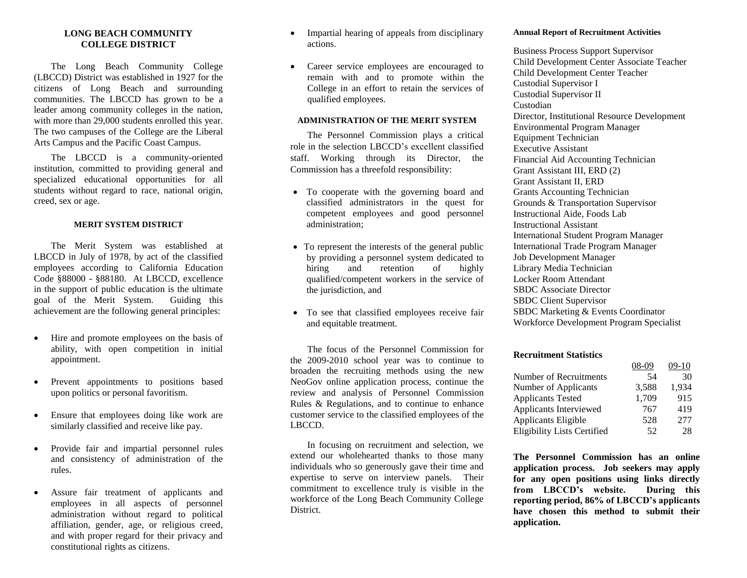### **LONG BEACH COMMUNITY COLLEGE DISTRICT**

The Long Beach Community College (LBCCD) District was established in 1927 for the citizens of Long Beach and surrounding communities. The LBCCD has grown to be a leader among community colleges in the nation, with more than 29,000 students enrolled this year. The two campuses of the College are the Liberal Arts Campus and the Pacific Coast Campus.

The LBCCD is a community-oriented institution, committed to providing general and specialized educational opportunities for all students without regard to race, national origin, creed, sex or age.

#### **MERIT SYSTEM DISTRICT**

The Merit System was established at LBCCD in July of 1978, by act of the classified employees according to California Education Code §88000 - §88180. At LBCCD, excellence in the support of public education is the ultimate goal of the Merit System. Guiding this achievement are the following general principles:

- Hire and promote employees on the basis of ability, with open competition in initial appointment.
- Prevent appointments to positions based upon politics or personal favoritism.
- Ensure that employees doing like work are similarly classified and receive like pay.
- Provide fair and impartial personnel rules and consistency of administration of the rules.
- Assure fair treatment of applicants and employees in all aspects of personnel administration without regard to political affiliation, gender, age, or religious creed, and with proper regard for their privacy and constitutional rights as citizens.
- Impartial hearing of appeals from disciplinary actions.
- Career service employees are encouraged to remain with and to promote within the College in an effort to retain the services of qualified employees.

#### **ADMINISTRATION OF THE MERIT SYSTEM**

The Personnel Commission plays a critical role in the selection LBCCD's excellent classified staff. Working through its Director, the Commission has a threefold responsibility:

- To cooperate with the governing board and classified administrators in the quest for competent employees and good personnel administration;
- To represent the interests of the general public by providing a personnel system dedicated to hiring and retention of highly qualified/competent workers in the service of the jurisdiction, and
- To see that classified employees receive fair and equitable treatment.

The focus of the Personnel Commission for the 2009-2010 school year was to continue to broaden the recruiting methods using the new NeoGov online application process, continue the review and analysis of Personnel Commission Rules & Regulations, and to continue to enhance customer service to the classified employees of the LBCCD.

In focusing on recruitment and selection, we extend our wholehearted thanks to those many individuals who so generously gave their time and expertise to serve on interview panels. Their commitment to excellence truly is visible in the workforce of the Long Beach Community College District.

#### **Annual Report of Recruitment Activities**

Business Process Support Supervisor Child Development Center Associate Teacher Child Development Center Teacher Custodial Supervisor I Custodial Supervisor II Custodian Director, Institutional Resource Development Environmental Program Manager Equipment Technician Executive Assistant Financial Aid Accounting Technician Grant Assistant III, ERD (2) Grant Assistant II, ERD Grants Accounting Technician Grounds & Transportation Supervisor Instructional Aide, Foods Lab Instructional Assistant International Student Program Manager International Trade Program Manager Job Development Manager Library Media Technician Locker Room Attendant SBDC Associate Director SBDC Client Supervisor SBDC Marketing & Events Coordinator Workforce Development Program Specialist

#### **Recruitment Statistics**

|                                    | 08-09 | $09-10$ |
|------------------------------------|-------|---------|
| Number of Recruitments             | 54    | 30      |
| Number of Applicants               | 3,588 | 1.934   |
| <b>Applicants Tested</b>           | 1,709 | 915     |
| Applicants Interviewed             | 767   | 419     |
| Applicants Eligible                | 528   | 277     |
| <b>Eligibility Lists Certified</b> | 52    | 28      |

**The Personnel Commission has an online application process. Job seekers may apply for any open positions using links directly from LBCCD's website. During this reporting period, 86% of LBCCD's applicants have chosen this method to submit their application.**